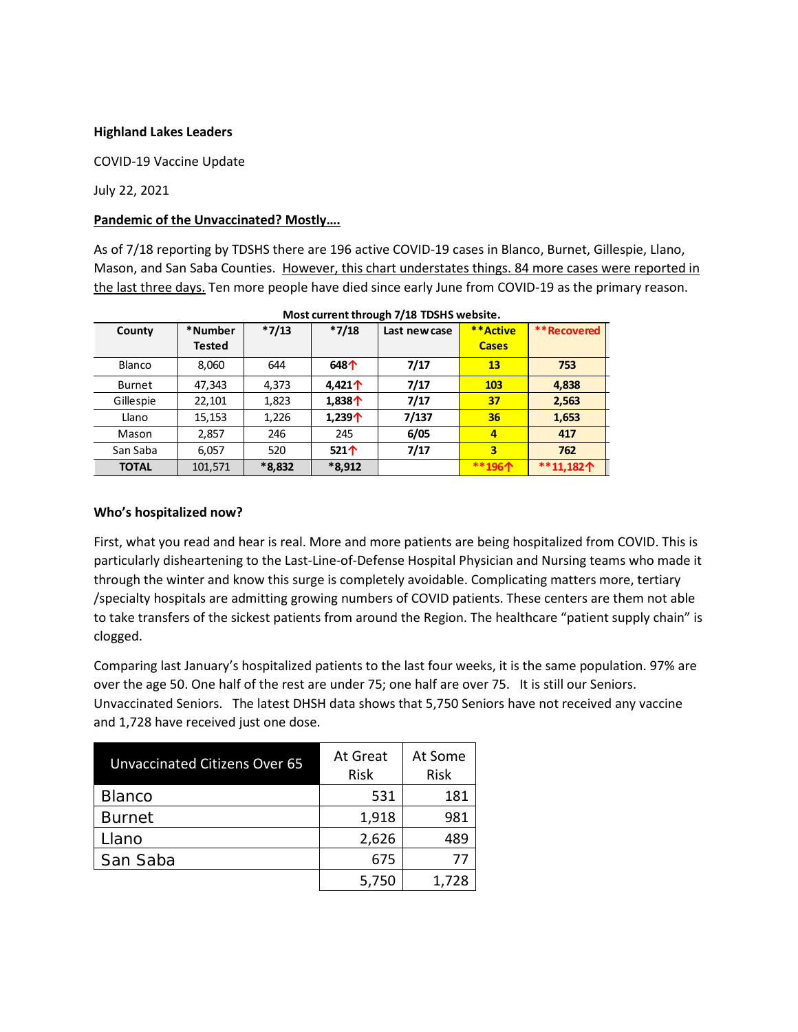### **Highland Lakes Leaders**

COVID-19 Vaccine Update

July 22, 2021

## **Pandemic of the Unvaccinated? Mostly….**

As of 7/18 reporting by TDSHS there are 196 active COVID-19 cases in Blanco, Burnet, Gillespie, Llano, Mason, and San Saba Counties. However, this chart understates things. 84 more cases were reported in the last three days. Ten more people have died since early June from COVID-19 as the primary reason.

| County        | *Number | $*7/13$  | $*7/18$          | Last new case | **Active     | **Recovered |
|---------------|---------|----------|------------------|---------------|--------------|-------------|
|               | Tested  |          |                  |               | <b>Cases</b> |             |
| Blanco        | 8,060   | 644      | 648个             | 7/17          | 13           | 753         |
| <b>Burnet</b> | 47,343  | 4,373    | 4.421 $\uparrow$ | 7/17          | <b>103</b>   | 4,838       |
| Gillespie     | 22,101  | 1,823    | 1,838 $\uparrow$ | 7/17          | 37           | 2,563       |
| Llano         | 15,153  | 1,226    | 1,239 $\uparrow$ | 7/137         | 36           | 1,653       |
| Mason         | 2,857   | 246      | 245              | 6/05          | 4            | 417         |
| San Saba      | 6,057   | 520      | 521 $\uparrow$   | 7/17          | 3            | 762         |
| <b>TOTAL</b>  | 101,571 | $*8,832$ | $*8,912$         |               | **196个       | **11,182个   |

#### **Who's hospitalized now?**

First, what you read and hear is real. More and more patients are being hospitalized from COVID. This is particularly disheartening to the Last-Line-of-Defense Hospital Physician and Nursing teams who made it through the winter and know this surge is completely avoidable. Complicating matters more, tertiary /specialty hospitals are admitting growing numbers of COVID patients. These centers are them not able to take transfers of the sickest patients from around the Region. The healthcare "patient supply chain" is clogged.

Comparing last January's hospitalized patients to the last four weeks, it is the same population. 97% are over the age 50. One half of the rest are under 75; one half are over 75. It is still our Seniors. Unvaccinated Seniors. The latest DHSH data shows that 5,750 Seniors have not received any vaccine and 1,728 have received just one dose.

| Unvaccinated Citizens Over 65 | At Great<br>Risk | At Some<br><b>Risk</b> |
|-------------------------------|------------------|------------------------|
| <b>Blanco</b>                 | 531              | 181                    |
| <b>Burnet</b>                 | 1,918            | 981                    |
| Llano                         | 2,626            | 489                    |
| San Saba                      | 675              | 77                     |
|                               | 5,750            | 1,728                  |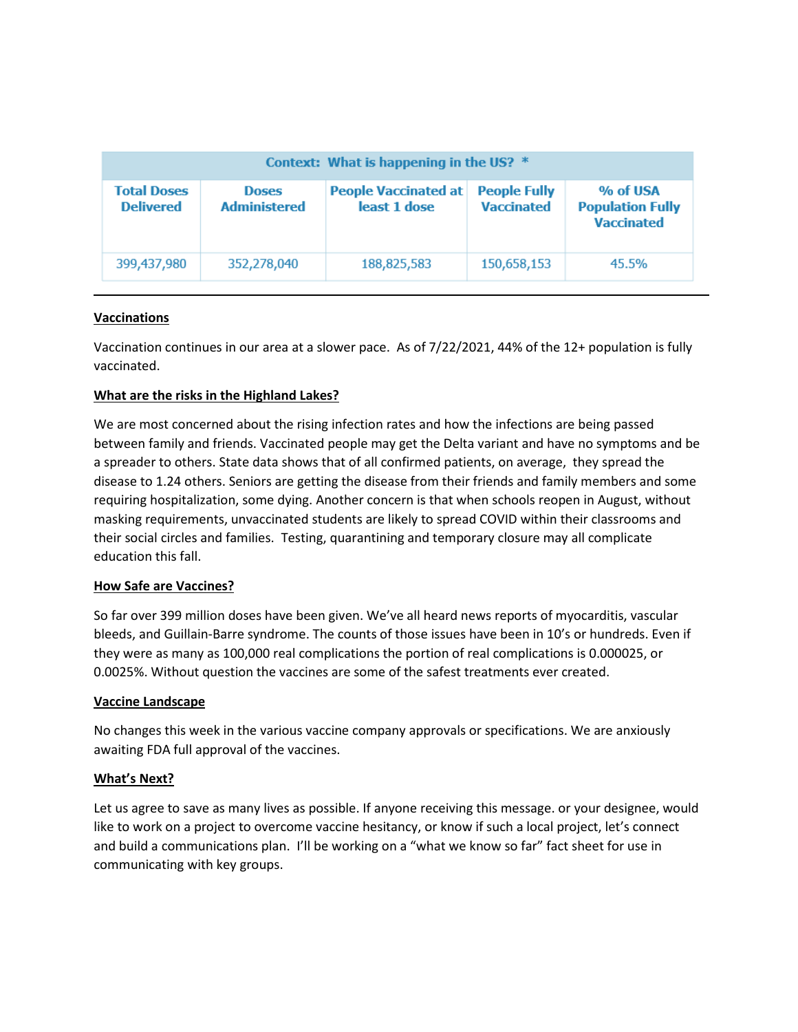| Context: What is happening in the US? * |                                     |                                             |                                          |                                                          |  |  |  |
|-----------------------------------------|-------------------------------------|---------------------------------------------|------------------------------------------|----------------------------------------------------------|--|--|--|
| <b>Total Doses</b><br><b>Delivered</b>  | <b>Doses</b><br><b>Administered</b> | <b>People Vaccinated at</b><br>least 1 dose | <b>People Fully</b><br><b>Vaccinated</b> | % of USA<br><b>Population Fully</b><br><b>Vaccinated</b> |  |  |  |
| 399,437,980                             | 352,278,040                         | 188,825,583                                 | 150,658,153                              | 45.5%                                                    |  |  |  |

## **Vaccinations**

Vaccination continues in our area at a slower pace. As of 7/22/2021, 44% of the 12+ population is fully vaccinated.

## **What are the risks in the Highland Lakes?**

We are most concerned about the rising infection rates and how the infections are being passed between family and friends. Vaccinated people may get the Delta variant and have no symptoms and be a spreader to others. State data shows that of all confirmed patients, on average, they spread the disease to 1.24 others. Seniors are getting the disease from their friends and family members and some requiring hospitalization, some dying. Another concern is that when schools reopen in August, without masking requirements, unvaccinated students are likely to spread COVID within their classrooms and their social circles and families. Testing, quarantining and temporary closure may all complicate education this fall.

#### **How Safe are Vaccines?**

So far over 399 million doses have been given. We've all heard news reports of myocarditis, vascular bleeds, and Guillain-Barre syndrome. The counts of those issues have been in 10's or hundreds. Even if they were as many as 100,000 real complications the portion of real complications is 0.000025, or 0.0025%. Without question the vaccines are some of the safest treatments ever created.

#### **Vaccine Landscape**

No changes this week in the various vaccine company approvals or specifications. We are anxiously awaiting FDA full approval of the vaccines.

#### **What's Next?**

Let us agree to save as many lives as possible. If anyone receiving this message. or your designee, would like to work on a project to overcome vaccine hesitancy, or know if such a local project, let's connect and build a communications plan. I'll be working on a "what we know so far" fact sheet for use in communicating with key groups.